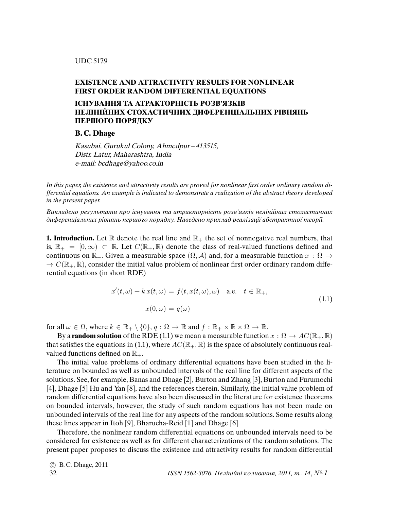## **EXISTENCE AND ATTRACTIVITY RESULTS FOR NONLINEAR FIRST ORDER RANDOM DIFFERENTIAL EQUATIONS**

## **IСНУВАННЯ ТА АТРАКТОРНIСТЬ РОЗВ'ЯЗКIВ НЕЛIНIЙНИХ СТОХАСТИЧНИХ ДИФЕРЕНЦIАЛЬНИХ РIВНЯНЬ ПЕРШОГО ПОРЯДКУ**

**B. C. Dhage**

Kasubai, Gurukul Colony, Ahmedpur – 413515, Distr. Latur, Maharashtra, India e-mail: bcdhage@yahoo.co.in

In this paper, the existence and attractivity results are proved for nonlinear *fi*rst order ordinary random differential equations. An example is indicated to demonstrate a realization of the abstract theory developed in the present paper.

Викладено результати про iснування та атракторнiсть розв'язкiв нелiнiйних стохастичних диференцiальних рiвнянь першого порядку. Наведено приклад реалiзацiї абстрактної теорiї.

**1. Introduction.** Let  $\mathbb{R}$  denote the real line and  $\mathbb{R}_+$  the set of nonnegative real numbers, that is,  $\mathbb{R}_+ = [0, \infty) \subset \mathbb{R}$ . Let  $C(\mathbb{R}_+, \mathbb{R})$  denote the class of real-valued functions defined and continuous on  $\mathbb{R}_+$ . Given a measurable space  $(\Omega, \mathcal{A})$  and, for a measurable function  $x : \Omega \to$  $\rightarrow C(\mathbb{R}_+, \mathbb{R})$ , consider the initial value problem of nonlinear first order ordinary random differential equations (in short RDE)

$$
x'(t,\omega) + k x(t,\omega) = f(t, x(t,\omega), \omega) \quad \text{a.e.} \quad t \in \mathbb{R}_+,
$$
  

$$
x(0,\omega) = q(\omega)
$$
 (1.1)

for all  $\omega \in \Omega$ , where  $k \in \mathbb{R}_+ \setminus \{0\}$ ,  $q : \Omega \to \mathbb{R}$  and  $f : \mathbb{R}_+ \times \mathbb{R} \times \Omega \to \mathbb{R}$ .

By a **random solution** of the RDE (1.1) we mean a measurable function  $x : \Omega \to AC(\mathbb{R}_+, \mathbb{R})$ that satisfies the equations in (1.1), where  $AC(\mathbb{R}_+, \mathbb{R})$  is the space of absolutely continuous realvalued functions defined on  $\mathbb{R}_+$ .

The initial value problems of ordinary differential equations have been studied in the literature on bounded as well as unbounded intervals of the real line for different aspects of the solutions. See, for example, Banas and Dhage [2], Burton and Zhang [3], Burton and Furumochi [4], Dhage [5] Hu and Yan [8], and the references therein. Similarly, the initial value problem of random differential equations have also been discussed in the literature for existence theorems on bounded intervals, however, the study of such random equations has not been made on unbounded intervals of the real line for any aspects of the random solutions. Some results along these lines appear in Itoh [9], Bharucha-Reid [1] and Dhage [6].

Therefore, the nonlinear random differential equations on unbounded intervals need to be considered for existence as well as for different characterizations of the random solutions. The present paper proposes to discuss the existence and attractivity results for random differential

```

c B. C. Dhage, 2011
32 ISSN 1562-3076. Нелінійні коливання, 2011, т. 14, N^{\circ} 1
```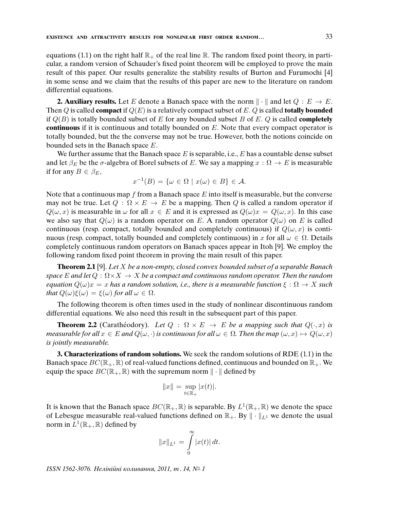equations (1.1) on the right half  $\mathbb{R}_+$  of the real line  $\mathbb{R}$ . The random fixed point theory, in particular, a random version of Schauder's fixed point theorem will be employed to prove the main result of this paper. Our results generalize the stability results of Burton and Furumochi [4] in some sense and we claim that the results of this paper are new to the literature on random differential equations.

**2. Auxiliary results.** Let E denote a Banach space with the norm  $\|\cdot\|$  and let  $Q : E \to E$ . Then Q is called **compact** if  $Q(E)$  is a relatively compact subset of E. Q is called **totally bounded** if Q(B) is totally bounded subset of E for any bounded subset B of E. Q is called **completely continuous** if it is continuous and totally bounded on E. Note that every compact operator is totally bounded, but the the converse may not be true. However, both the notions coincide on bounded sets in the Banach space E.

We further assume that the Banach space  $E$  is separable, i.e.,  $E$  has a countable dense subset and let  $\beta_E$  be the  $\sigma$ -algebra of Borel subsets of E. We say a mapping  $x : \Omega \to E$  is measurable if for any  $B \in \beta_E$ ,

$$
x^{-1}(B) = \{ \omega \in \Omega \mid x(\omega) \in B \} \in \mathcal{A}.
$$

Note that a continuous map f from a Banach space  $E$  into itself is measurable, but the converse may not be true. Let  $Q : \Omega \times E \to E$  be a mapping. Then Q is called a random operator if  $Q(\omega, x)$  is measurable in  $\omega$  for all  $x \in E$  and it is expressed as  $Q(\omega)x = Q(\omega, x)$ . In this case we also say that  $Q(\omega)$  is a random operator on E. A random operator  $Q(\omega)$  on E is called continuous (resp. compact, totally bounded and completely continuous) if  $Q(\omega, x)$  is continuous (resp. compact, totally bounded and completely continuous) in x for all  $\omega \in \Omega$ . Details completely continuous random operators on Banach spaces appear in Itoh [9]. We employ the following random fixed point theorem in proving the main result of this paper.

**Theorem 2.1** [9]. Let X be a non-empty, closed convex bounded subset of a separable Banach space E and let  $Q : \Omega \times X \to X$  be a compact and continuous random operator. Then the random equation  $Q(\omega)x = x$  has a random solution, i.e., there is a measurable function  $\xi : \Omega \to X$  such that  $Q(\omega)\xi(\omega) = \xi(\omega)$  for all  $\omega \in \Omega$ .

The following theorem is often times used in the study of nonlinear discontinuous random differential equations. We also need this result in the subsequent part of this paper.

**Theorem 2.2** (Caratheodory). Let  $Q : \Omega \times E \rightarrow E$  be a mapping such that  $Q(\cdot, x)$  is measurable for all  $x \in E$  and  $Q(\omega, \cdot)$  is continuous for all  $\omega \in \Omega$ . Then the map  $(\omega, x) \mapsto Q(\omega, x)$ is jointly measurable.

**3. Characterizations of random solutions.** We seek the random solutions of RDE (1.1) in the Banach space  $BC(\mathbb{R}_+, \mathbb{R})$  of real-valued functions defined, continuous and bounded on  $\mathbb{R}_+$ . We equip the space  $BC(\mathbb{R}_+, \mathbb{R})$  with the supremum norm  $\|\cdot\|$  defined by

$$
||x|| = \sup_{t \in \mathbb{R}_+} |x(t)|.
$$

It is known that the Banach space  $BC(\mathbb{R}_+, \mathbb{R})$  is separable. By  $L^1(\mathbb{R}_+, \mathbb{R})$  we denote the space of Lebesgue measurable real-valued functions defined on  $\mathbb{R}_+$ . By  $\|\cdot\|_{L^1}$  we denote the usual norm in  $L^1(\mathbb{R}_+, \mathbb{R})$  defined by

$$
||x||_{L^1} = \int_{0}^{\infty} |x(t)| dt.
$$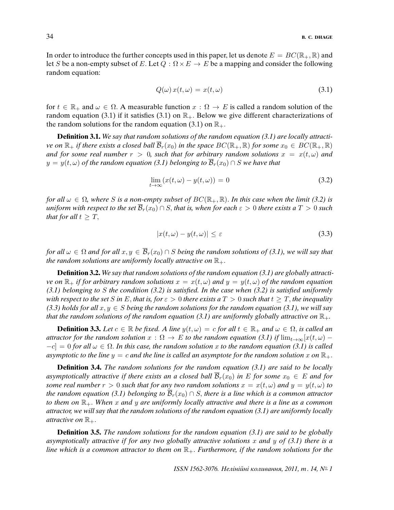In order to introduce the further concepts used in this paper, let us denote  $E = BC(\mathbb{R}_+, \mathbb{R})$  and let S be a non-empty subset of E. Let  $Q : \Omega \times E \to E$  be a mapping and consider the following random equation:

$$
Q(\omega) x(t, \omega) = x(t, \omega) \tag{3.1}
$$

for  $t \in \mathbb{R}_+$  and  $\omega \in \Omega$ . A measurable function  $x : \Omega \to E$  is called a random solution of the random equation (3.1) if it satisfies (3.1) on  $\mathbb{R}_+$ . Below we give different characterizations of the random solutions for the random equation (3.1) on  $\mathbb{R}_+$ .

**Definition 3.1.** We say that random solutions of the random equation (3.1) are locally attractive on  $\mathbb{R}_+$  if there exists a closed ball  $\overline{\mathcal{B}}_r(x_0)$  in the space  $BC(\mathbb{R}_+, \mathbb{R})$  for some  $x_0 \in BC(\mathbb{R}_+, \mathbb{R})$ and for some real number  $r > 0$ , such that for arbitrary random solutions  $x = x(t, \omega)$  and  $y = y(t, \omega)$  of the random equation (3.1) belonging to  $\overline{\mathcal{B}}_r(x_0) \cap S$  we have that

$$
\lim_{t \to \infty} (x(t,\omega) - y(t,\omega)) = 0 \tag{3.2}
$$

for all  $\omega \in \Omega$ , where S is a non-empty subset of  $BC(\mathbb{R}_+, \mathbb{R})$ . In this case when the limit (3.2) is uniform with respect to the set  $\overline{\mathcal{B}}_r(x_0) \cap S$ , that is, when for each  $\varepsilon > 0$  there exists a  $T > 0$  such that for all  $t \geq T$ ,

$$
|x(t,\omega) - y(t,\omega)| \le \varepsilon \tag{3.3}
$$

for all  $\omega \in \Omega$  and for all  $x, y \in \overline{\mathcal{B}}_r(x_0) \cap S$  being the random solutions of (3.1), we will say that the random solutions are uniformly locally attractive on  $\mathbb{R}_+$ .

**Definition 3.2.** We say that random solutions of the random equation (3.1) are globally attractive on  $\mathbb{R}_+$  if for arbitrary random solutions  $x = x(t, \omega)$  and  $y = y(t, \omega)$  of the random equation (3.1) belonging to S the condition (3.2) is satis*fi*ed. In the case when (3.2) is satis*fi*ed uniformly with respect to the set S in E, that is, for  $\varepsilon > 0$  there exists a  $T > 0$  such that  $t \geq T$ , the inequality (3.3) holds for all  $x, y \in S$  being the random solutions for the random equation (3.1), we will say that the random solutions of the random equation (3.1) are uniformly globally attractive on  $\mathbb{R}_{+}$ .

**Definition 3.3.** Let  $c \in \mathbb{R}$  be fixed. A line  $y(t, \omega) = c$  for all  $t \in \mathbb{R}_+$  and  $\omega \in \Omega$ , is called an attractor for the random solution  $x : \Omega \to E$  to the random equation (3.1) if  $\lim_{t\to\infty} [x(t,\omega) -c$  = 0 for all  $\omega \in \Omega$ . In this case, the random solution x to the random equation (3.1) is called asymptotic to the line  $y = c$  and the line is called an asymptote for the random solution x on  $\mathbb{R}_+$ .

**Definition 3.4.** The random solutions for the random equation (3.1) are said to be locally asymptotically attractive if there exists an a closed ball  $\mathcal{B}_r(x_0)$  in E for some  $x_0 \in E$  and for some real number  $r > 0$  such that for any two random solutions  $x = x(t, \omega)$  and  $y = y(t, \omega)$  to the random equation (3.1) belonging to  $\overline{\mathcal{B}}_r(x_0) \cap S$ , there is a line which is a common attractor to them on  $\mathbb{R}_+$ . When x and y are uniformly locally attractive and there is a line as a common attractor, we will say that the random solutions of the random equation (3.1) are uniformly locally attractive on  $\mathbb{R}_+$ .

**Definition 3.5.** The random solutions for the random equation (3.1) are said to be globally asymptotically attractive if for any two globally attractive solutions x and y of  $(3.1)$  there is a line which is a common attractor to them on  $\mathbb{R}_+$ . Furthermore, if the random solutions for the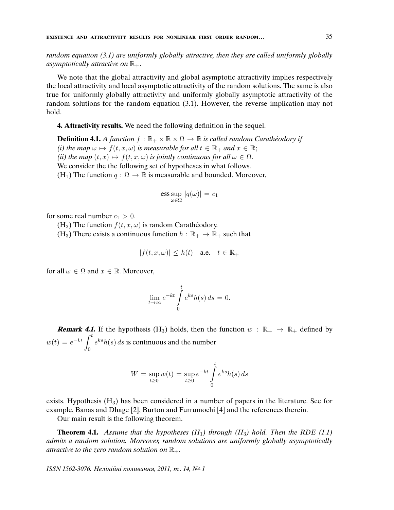random equation (3.1) are uniformly globally attractive, then they are called uniformly globally asymptotically attractive on  $\mathbb{R}_+$ .

We note that the global attractivity and global asymptotic attractivity implies respectively the local attractivity and local asymptotic attractivity of the random solutions. The same is also true for uniformly globally attractivity and uniformly globally asymptotic attractivity of the random solutions for the random equation (3.1). However, the reverse implication may not hold.

**4. Attractivity results.** We need the following definition in the sequel.

**Definition 4.1.** A function  $f : \mathbb{R}_+ \times \mathbb{R} \times \Omega \to \mathbb{R}$  is called random Carathéodory if (i) the map  $\omega \mapsto f(t, x, \omega)$  is measurable for all  $t \in \mathbb{R}_+$  and  $x \in \mathbb{R}$ ; (ii) the map  $(t, x) \mapsto f(t, x, \omega)$  is jointly continuous for all  $\omega \in \Omega$ . We consider the the following set of hypotheses in what follows. (H<sub>1</sub>) The function  $q : \Omega \to \mathbb{R}$  is measurable and bounded. Moreover,

$$
\operatorname{ess} \sup_{\omega \in \Omega} |q(\omega)| = c_1
$$

for some real number  $c_1 > 0$ .

 $(H_2)$  The function  $f(t, x, \omega)$  is random Caratheodory.

(H<sub>3</sub>) There exists a continuous function  $h : \mathbb{R}_+ \to \mathbb{R}_+$  such that

$$
|f(t, x, \omega)| \le h(t) \quad \text{a.e.} \quad t \in \mathbb{R}_+
$$

for all  $\omega \in \Omega$  and  $x \in \mathbb{R}$ . Moreover,

$$
\lim_{t \to \infty} e^{-kt} \int_{0}^{t} e^{ks} h(s) ds = 0.
$$

**Remark 4.1.** If the hypothesis (H<sub>3</sub>) holds, then the function  $w : \mathbb{R}_+ \to \mathbb{R}_+$  defined by  $w(t) = e^{-kt} \int_0^t$ 0  $e^{ks}h(s)$  ds is continuous and the number

$$
W = \sup_{t \ge 0} w(t) = \sup_{t \ge 0} e^{-kt} \int_{0}^{t} e^{ks} h(s) ds
$$

exists. Hypothesis  $(H_3)$  has been considered in a number of papers in the literature. See for example, Banas and Dhage [2], Burton and Furrumochi [4] and the references therein.

Our main result is the following theorem.

**Theorem 4.1.** Assume that the hypotheses  $(H_1)$  through  $(H_3)$  hold. Then the RDE (1.1) admits a random solution. Moreover, random solutions are uniformly globally asymptotically attractive to the zero random solution on  $\mathbb{R}_+$ .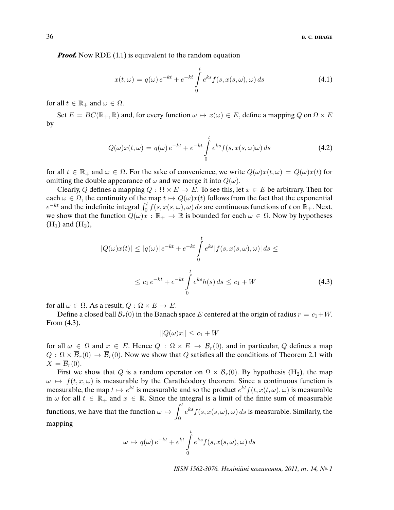*Proof.* Now RDE (1.1) is equivalent to the random equation

$$
x(t,\omega) = q(\omega)e^{-kt} + e^{-kt} \int_{0}^{t} e^{ks} f(s, x(s, \omega), \omega) ds
$$
 (4.1)

for all  $t \in \mathbb{R}_+$  and  $\omega \in \Omega$ .

Set  $E = BC(\mathbb{R}_+, \mathbb{R})$  and, for every function  $\omega \mapsto x(\omega) \in E$ , define a mapping Q on  $\Omega \times E$ by

$$
Q(\omega)x(t,\omega) = q(\omega)e^{-kt} + e^{-kt} \int_{0}^{t} e^{ks} f(s, x(s, \omega)\omega) ds
$$
\n(4.2)

for all  $t \in \mathbb{R}_+$  and  $\omega \in \Omega$ . For the sake of convenience, we write  $Q(\omega)x(t, \omega) = Q(\omega)x(t)$  for omitting the double appearance of  $\omega$  and we merge it into  $Q(\omega)$ .

Clearly, Q defines a mapping  $Q : \Omega \times E \to E$ . To see this, let  $x \in E$  be arbitrary. Then for each  $\omega \in \Omega$ , the continuity of the map  $t \mapsto Q(\omega)x(t)$  follows from the fact that the exponential  $e^{-kt}$  and the indefinite integral  $\int_0^t f(s, x(s, \omega), \omega) ds$  are continuous functions of t on  $\mathbb{R}_+$ . Next, we show that the function  $Q(\omega)x : \mathbb{R}_+ \to \mathbb{R}$  is bounded for each  $\omega \in \Omega$ . Now by hypotheses  $(H_1)$  and  $(H_2)$ ,

$$
|Q(\omega)x(t)| \le |q(\omega)|e^{-kt} + e^{-kt} \int_{0}^{t} e^{ks} |f(s, x(s, \omega), \omega)| ds \le
$$
  

$$
\le c_1 e^{-kt} + e^{-kt} \int_{0}^{t} e^{ks} h(s) ds \le c_1 + W
$$
 (4.3)

for all  $\omega \in \Omega$ . As a result,  $Q : \Omega \times E \to E$ .

Define a closed ball  $\overline{B}_r(0)$  in the Banach space E centered at the origin of radius  $r = c_1 + W$ . From (4.3),

$$
||Q(\omega)x|| \leq c_1 + W
$$

for all  $\omega \in \Omega$  and  $x \in E$ . Hence  $Q : \Omega \times E \to \overline{\mathcal{B}}_r(0)$ , and in particular, Q defines a map  $Q: \Omega \times \overline{B}_r(0) \to \overline{B}_r(0)$ . Now we show that Q satisfies all the conditions of Theorem 2.1 with  $X = \mathcal{B}_r(0).$ 

First we show that Q is a random operator on  $\Omega \times \overline{B}_r(0)$ . By hypothesis (H<sub>2</sub>), the map  $\omega \mapsto f(t, x, \omega)$  is measurable by the Caratheodory theorem. Since a continuous function is measurable, the map  $t \mapsto e^{kt}$  is measurable and so the product  $e^{kt}f(t, x(t, \omega), \omega)$  is measurable in  $\omega$  for all  $t \in \mathbb{R}_+$  and  $x \in \mathbb{R}$ . Since the integral is a limit of the finite sum of measurable functions, we have that the function  $\omega \mapsto \int^t$ 0  $e^{ks} f(s, x(s, \omega), \omega) ds$  is measurable. Similarly, the mapping

$$
\omega \mapsto q(\omega) e^{-kt} + e^{kt} \int_{0}^{t} e^{ks} f(s, x(s, \omega), \omega) ds
$$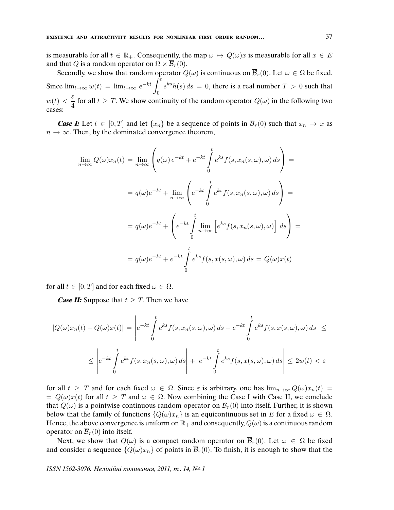is measurable for all  $t \in \mathbb{R}_+$ . Consequently, the map  $\omega \mapsto Q(\omega)x$  is measurable for all  $x \in E$ and that Q is a random operator on  $\Omega \times \overline{\mathcal{B}}_r(0)$ .

Secondly, we show that random operator  $Q(\omega)$  is continuous on  $\overline{\mathcal{B}}_r(0)$ . Let  $\omega \in \Omega$  be fixed. Since  $\lim_{t\to\infty} w(t) = \lim_{t\to\infty} e^{-kt} \int_0^t$ 0  $e^{ks}h(s) ds = 0$ , there is a real number  $T > 0$  such that  $w(t) < \frac{\varepsilon}{4}$  $\frac{3}{4}$  for all  $t \geq T$ . We show continuity of the random operator  $Q(\omega)$  in the following two cases:

**Case I:** Let  $t \in [0, T]$  and let  $\{x_n\}$  be a sequence of points in  $\overline{\mathcal{B}}_r(0)$  such that  $x_n \to x$  as  $n \to \infty$ . Then, by the dominated convergence theorem,

$$
\lim_{n \to \infty} Q(\omega) x_n(t) = \lim_{n \to \infty} \left( q(\omega) e^{-kt} + e^{-kt} \int_0^t e^{ks} f(s, x_n(s, \omega), \omega) ds \right) =
$$
\n
$$
= q(\omega) e^{-kt} + \lim_{n \to \infty} \left( e^{-kt} \int_0^t e^{ks} f(s, x_n(s, \omega), \omega) ds \right) =
$$
\n
$$
= q(\omega) e^{-kt} + \left( e^{-kt} \int_0^t \lim_{n \to \infty} \left[ e^{ks} f(s, x_n(s, \omega), \omega) \right] ds \right) =
$$
\n
$$
= q(\omega) e^{-kt} + e^{-kt} \int_0^t e^{ks} f(s, x(s, \omega), \omega) ds = Q(\omega) x(t)
$$

for all  $t \in [0, T]$  and for each fixed  $\omega \in \Omega$ .

*Case II:* Suppose that  $t \geq T$ . Then we have

$$
|Q(\omega)x_n(t) - Q(\omega)x(t)| = \left| e^{-kt} \int_0^t e^{ks} f(s, x_n(s, \omega), \omega) ds - e^{-kt} \int_0^t e^{ks} f(s, x(s, \omega), \omega) ds \right| \le
$$
  

$$
\le \left| e^{-kt} \int_0^t e^{ks} f(s, x_n(s, \omega), \omega) ds \right| + \left| e^{-kt} \int_0^t e^{ks} f(s, x(s, \omega), \omega) ds \right| \le 2w(t) < \varepsilon
$$

for all  $t \geq T$  and for each fixed  $\omega \in \Omega$ . Since  $\varepsilon$  is arbitrary, one has  $\lim_{n\to\infty} Q(\omega) x_n(t) =$  $= Q(\omega)x(t)$  for all  $t \geq T$  and  $\omega \in \Omega$ . Now combining the Case I with Case II, we conclude that  $Q(\omega)$  is a pointwise continuous random operator on  $\mathcal{B}_r(0)$  into itself. Further, it is shown below that the family of functions  $\{Q(\omega)x_n\}$  is an equicontinuous set in E for a fixed  $\omega \in \Omega$ . Hence, the above convergence is uniform on  $\mathbb{R}_+$  and consequently,  $Q(\omega)$  is a continuous random operator on  $\overline{\mathcal{B}}_r(0)$  into itself.

Next, we show that  $Q(\omega)$  is a compact random operator on  $\overline{\mathcal{B}}_r(0)$ . Let  $\omega \in \Omega$  be fixed and consider a sequence  ${Q(\omega)x_n}$  of points in  $\overline{B}_r(0)$ . To finish, it is enough to show that the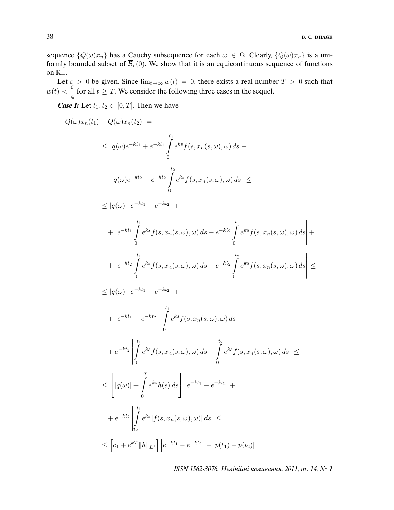sequence  ${Q(\omega)x_n}$  has a Cauchy subsequence for each  $\omega \in \Omega$ . Clearly,  ${Q(\omega)x_n}$  is a uniformly bounded subset of  $\overline{\mathcal{B}}_r(0)$ . We show that it is an equicontinuous sequence of functions on  $\mathbb{R}_+$ .

Let  $\varepsilon > 0$  be given. Since  $\lim_{t\to\infty} w(t) = 0$ , there exists a real number  $T > 0$  such that  $w(t) < \frac{\varepsilon}{4}$  $\frac{1}{4}$  for all  $t \geq T$ . We consider the following three cases in the sequel.

**Case I:** Let  $t_1, t_2 \in [0, T]$ . Then we have

$$
|Q(\omega)x_n(t_1) - Q(\omega)x_n(t_2)| =
$$
\n
$$
\leq |q(\omega)e^{-kt_1} + e^{-kt_1} \int_0^{t_1} e^{ks} f(s, x_n(s, \omega), \omega) ds -
$$
\n
$$
-q(\omega)e^{-kt_2} - e^{-kt_2} \int_0^{t_2} e^{ks} f(s, x_n(s, \omega), \omega) ds| \leq
$$
\n
$$
\leq |q(\omega)| |e^{-kt_1} - e^{-kt_2}| +
$$
\n
$$
+ |e^{-kt_1} \int_0^{t_1} e^{ks} f(s, x_n(s, \omega), \omega) ds - e^{-kt_2} \int_0^{t_1} e^{ks} f(s, x_n(s, \omega), \omega) ds| +
$$
\n
$$
+ |e^{-kt_2} \int_0^{t_1} e^{ks} f(s, x_n(s, \omega), \omega) ds - e^{-kt_2} \int_0^{t_2} e^{ks} f(s, x_n(s, \omega), \omega) ds| \leq
$$
\n
$$
\leq |q(\omega)| |e^{-kt_1} - e^{-kt_2}| +
$$
\n
$$
+ |e^{-kt_1} - e^{-kt_2}| | \int_0^{t_1} e^{ks} f(s, x_n(s, \omega), \omega) ds| +
$$
\n
$$
+ e^{-kt_2} \left| \int_0^{t_1} e^{ks} f(s, x_n(s, \omega), \omega) ds - \int_0^{t_2} e^{ks} f(s, x_n(s, \omega), \omega) ds \right| +
$$
\n
$$
+ e^{-kt_2} \left| \int_0^{t_1} e^{ks} f(s, x_n(s, \omega), \omega) ds - \int_0^{t_2} e^{ks} f(s, x_n(s, \omega), \omega) ds \right| \leq
$$
\n
$$
\leq [q(\omega)| + \int_0^r e^{ks} |f(s, x_n(s, \omega), \omega)| ds| \leq
$$
\n
$$
\leq [c_1 + e^{kT} ||h||_L1] |e^{-kt_1} - e^{-kt_2} + |p(t_1) - p(t_2)|
$$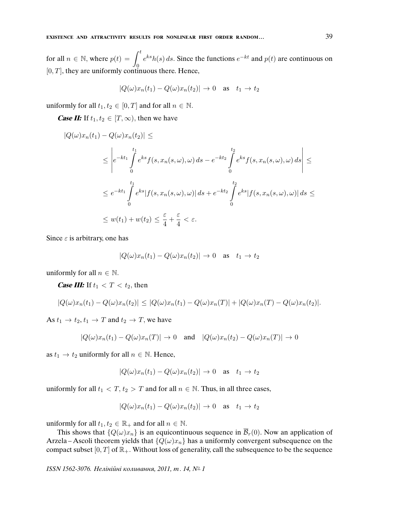for all  $n \in \mathbb{N}$ , where  $p(t) = \int_0^t e^{ks} h(s) ds$ . Since the functions  $e^{-kt}$  and  $p(t)$  are continuous on  $[0, T]$ , they are uniformly continuous there. Hence,

$$
|Q(\omega)x_n(t_1) - Q(\omega)x_n(t_2)| \to 0 \quad \text{as} \quad t_1 \to t_2
$$

uniformly for all  $t_1, t_2 \in [0, T]$  and for all  $n \in \mathbb{N}$ .

**Case II:** If  $t_1, t_2 \in [T, \infty)$ , then we have

$$
|Q(\omega)x_n(t_1) - Q(\omega)x_n(t_2)| \le
$$
  
\n
$$
\leq \left| e^{-kt_1} \int_0^{t_1} e^{ks} f(s, x_n(s, \omega), \omega) ds - e^{-kt_2} \int_0^{t_2} e^{ks} f(s, x_n(s, \omega), \omega) ds \right| \le
$$
  
\n
$$
\leq e^{-kt_1} \int_0^{t_1} e^{ks} |f(s, x_n(s, \omega), \omega)| ds + e^{-kt_2} \int_0^{t_2} e^{ks} |f(s, x_n(s, \omega), \omega)| ds \le
$$
  
\n
$$
\leq w(t_1) + w(t_2) \leq \frac{\varepsilon}{4} + \frac{\varepsilon}{4} < \varepsilon.
$$

Since  $\varepsilon$  is arbitrary, one has

$$
|Q(\omega)x_n(t_1) - Q(\omega)x_n(t_2)| \to 0 \quad \text{as} \quad t_1 \to t_2
$$

uniformly for all  $n \in \mathbb{N}$ .

**Case III:** If  $t_1 < T < t_2$ , then

$$
|Q(\omega)x_n(t_1) - Q(\omega)x_n(t_2)| \leq |Q(\omega)x_n(t_1) - Q(\omega)x_n(T)| + |Q(\omega)x_n(T) - Q(\omega)x_n(t_2)|.
$$

As  $t_1 \rightarrow t_2, t_1 \rightarrow T$  and  $t_2 \rightarrow T$ , we have

$$
|Q(\omega)x_n(t_1) - Q(\omega)x_n(T)| \to 0 \quad \text{and} \quad |Q(\omega)x_n(t_2) - Q(\omega)x_n(T)| \to 0
$$

as  $t_1 \rightarrow t_2$  uniformly for all  $n \in \mathbb{N}$ . Hence,

$$
|Q(\omega)x_n(t_1) - Q(\omega)x_n(t_2)| \to 0 \quad \text{as} \quad t_1 \to t_2
$$

uniformly for all  $t_1 < T$ ,  $t_2 > T$  and for all  $n \in \mathbb{N}$ . Thus, in all three cases,

$$
|Q(\omega)x_n(t_1) - Q(\omega)x_n(t_2)| \to 0 \quad \text{as} \quad t_1 \to t_2
$$

uniformly for all  $t_1, t_2 \in \mathbb{R}_+$  and for all  $n \in \mathbb{N}$ .

This shows that  ${Q(\omega)x_n}$  is an equicontinuous sequence in  $\overline{B}_r(0)$ . Now an application of Arzela – Ascoli theorem yields that  ${Q(\omega)x_n}$  has a uniformly convergent subsequence on the compact subset  $[0, T]$  of  $\mathbb{R}_+$ . Without loss of generality, call the subsequence to be the sequence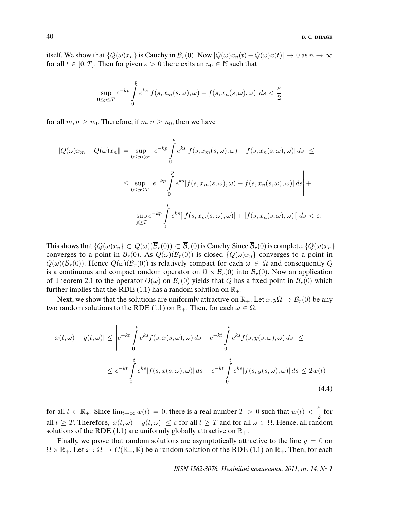itself. We show that  $\{Q(\omega)x_n\}$  is Cauchy in  $\overline{\mathcal{B}}_r(0)$ . Now  $|Q(\omega)x_n(t) - Q(\omega)x(t)| \to 0$  as  $n \to \infty$ for all  $t \in [0, T]$ . Then for given  $\varepsilon > 0$  there exits an  $n_0 \in \mathbb{N}$  such that

$$
\sup_{0\leq p\leq T}e^{-kp}\int\limits_{0}^{p}e^{ks}|f(s,x_{m}(s,\omega),\omega)-f(s,x_{n}(s,\omega),\omega)|\,ds<\frac{\varepsilon}{2}
$$

for all  $m, n \geq n_0$ . Therefore, if  $m, n \geq n_0$ , then we have

$$
||Q(\omega)x_m - Q(\omega)x_n|| = \sup_{0 \le p < \infty} \left| e^{-kp} \int_0^p e^{ks} |f(s, x_m(s, \omega), \omega) - f(s, x_n(s, \omega), \omega)| ds \right| \le
$$
  

$$
\le \sup_{0 \le p \le T} \left| e^{-kp} \int_0^p e^{ks} |f(s, x_m(s, \omega), \omega) - f(s, x_n(s, \omega), \omega)| ds \right| +
$$
  

$$
+ \sup_{p \ge T} e^{-kp} \int_0^p e^{ks} [|f(s, x_m(s, \omega), \omega)| + |f(s, x_n(s, \omega), \omega)|| ds < \varepsilon.
$$

This shows that  $\{Q(\omega)x_n\} \subset Q(\omega)(\overline{\mathcal{B}}_r(0)) \subset \overline{\mathcal{B}}_r(0)$  is Cauchy. Since  $\overline{\mathcal{B}}_r(0)$  is complete,  $\{Q(\omega)x_n\}$ converges to a point in  $\overline{\mathcal{B}}_r(0)$ . As  $Q(\omega)(\overline{\mathcal{B}}_r(0))$  is closed  $\{Q(\omega)x_n\}$  converges to a point in  $Q(\omega)(\overline{\mathcal{B}}_r(0))$ . Hence  $Q(\omega)(\overline{\mathcal{B}}_r(0))$  is relatively compact for each  $\omega \in \Omega$  and consequently Q is a continuous and compact random operator on  $\Omega \times \overline{\mathcal{B}}_r(0)$  into  $\overline{\mathcal{B}}_r(0)$ . Now an application of Theorem 2.1 to the operator  $Q(\omega)$  on  $\overline{B}_r(0)$  yields that Q has a fixed point in  $\overline{B}_r(0)$  which further implies that the RDE (1.1) has a random solution on  $\mathbb{R}_+$ .

Next, we show that the solutions are uniformly attractive on  $\mathbb{R}_+$ . Let  $x, y\Omega \to \overline{\mathcal{B}}_r(0)$  be any two random solutions to the RDE (1.1) on  $\mathbb{R}_+$ . Then, for each  $\omega \in \Omega$ ,

$$
|x(t,\omega) - y(t,\omega)| \le \left| e^{-kt} \int_0^t e^{ks} f(s, x(s,\omega), \omega) ds - e^{-kt} \int_0^t e^{ks} f(s, y(s,\omega), \omega) ds \right| \le
$$
  

$$
\le e^{-kt} \int_0^t e^{ks} |f(s, x(s,\omega), \omega)| ds + e^{-kt} \int_0^t e^{ks} |f(s, y(s, \omega), \omega)| ds \le 2w(t)
$$
  
(4.4)

for all  $t \in \mathbb{R}_+$ . Since  $\lim_{t\to\infty} w(t) = 0$ , there is a real number  $T > 0$  such that  $w(t) < \frac{\varepsilon}{2}$  $\frac{1}{2}$  for all  $t \geq T$ . Therefore,  $|x(t, \omega) - y(t, \omega)| \leq \varepsilon$  for all  $t \geq T$  and for all  $\omega \in \Omega$ . Hence, all random solutions of the RDE (1.1) are uniformly globally attractive on  $\mathbb{R}_+$ .

Finally, we prove that random solutions are asymptotically attractive to the line  $y = 0$  on  $\Omega \times \mathbb{R}_+$ . Let  $x : \Omega \to C(\mathbb{R}_+, \mathbb{R})$  be a random solution of the RDE (1.1) on  $\mathbb{R}_+$ . Then, for each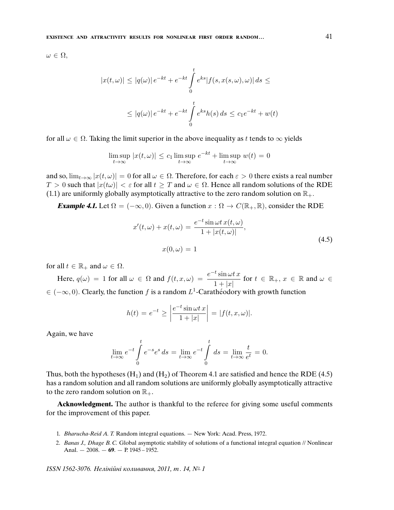$\omega \in \Omega$ ,

$$
|x(t,\omega)| \le |q(\omega)|e^{-kt} + e^{-kt} \int_0^t e^{ks} |f(s, x(s, \omega), \omega)| ds \le
$$
  

$$
\le |q(\omega)|e^{-kt} + e^{-kt} \int_0^t e^{ks} h(s) ds \le c_1 e^{-kt} + w(t)
$$

for all  $\omega \in \Omega$ . Taking the limit superior in the above inequality as t tends to  $\infty$  yields

$$
\limsup_{t \to \infty} |x(t, \omega)| \le c_1 \limsup_{t \to \infty} e^{-kt} + \limsup_{t \to \infty} w(t) = 0
$$

and so,  $\lim_{t\to\infty} |x(t,\omega)| = 0$  for all  $\omega \in \Omega$ . Therefore, for each  $\varepsilon > 0$  there exists a real number  $T > 0$  such that  $|x(t\omega)| < \varepsilon$  for all  $t \geq T$  and  $\omega \in \Omega$ . Hence all random solutions of the RDE (1.1) are uniformly globally asymptotically attractive to the zero random solution on  $\mathbb{R}_+$ .

**Example 4.1.** Let  $\Omega = (-\infty, 0)$ . Given a function  $x : \Omega \to C(\mathbb{R}_+, \mathbb{R})$ , consider the RDE

$$
x'(t,\omega) + x(t,\omega) = \frac{e^{-t}\sin\omega t \, x(t,\omega)}{1 + |x(t,\omega)|},
$$
  

$$
x(0,\omega) = 1
$$
 (4.5)

for all  $t \in \mathbb{R}_+$  and  $\omega \in \Omega$ .

Here,  $q(\omega) = 1$  for all  $\omega \in \Omega$  and  $f(t, x, \omega) = \frac{e^{-t} \sin \omega t \, x}{1 + |t|}$  $\frac{\sin \omega t}{1 + |x|}$  for  $t \in \mathbb{R}_+, x \in \mathbb{R}$  and  $\omega \in$  $\in (-\infty, 0)$ . Clearly, the function f is a random L<sup>1</sup>-Carathéodory with growth function

$$
h(t) = e^{-t} \ge \left| \frac{e^{-t} \sin \omega t \, x}{1 + |x|} \right| = |f(t, x, \omega)|.
$$

Again, we have

$$
\lim_{t \to \infty} e^{-t} \int_{0}^{t} e^{-s} e^{s} ds = \lim_{t \to \infty} e^{-t} \int_{0}^{t} ds = \lim_{t \to \infty} \frac{t}{e^{t}} = 0.
$$

Thus, both the hypotheses  $(H_1)$  and  $(H_2)$  of Theorem 4.1 are satisfied and hence the RDE (4.5) has a random solution and all random solutions are uniformly globally asymptotically attractive to the zero random solution on  $\mathbb{R}_+$ .

**Acknowledgment.** The author is thankful to the referee for giving some useful comments for the improvement of this paper.

- 1. Bharucha-Reid A. T. Random integral equations. New York: Acad. Press, 1972.
- 2. Banas J., Dhage B. C. Global asymptotic stability of solutions of a functional integral equation // Nonlinear Anal. — 2008. — **69**. — P. 1945 – 1952.